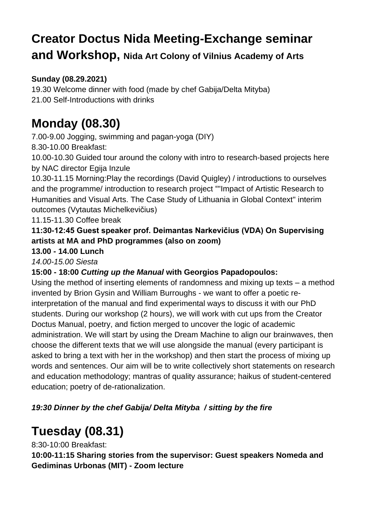# **Creator Doctus Nida Meeting-Exchange seminar and Workshop, Nida Art Colony of Vilnius Academy of Arts**

### **Sunday (08.29.2021)**

19.30 Welcome dinner with food (made by chef Gabija/Delta Mityba) 21.00 Self-Introductions with drinks

# **Monday (08.30)**

7.00-9.00 Jogging, swimming and pagan-yoga (DIY)

8.30-10.00 Breakfast:

10.00-10.30 Guided tour around the colony with intro to research-based projects here by NAC director Egija Inzule

10.30-11.15 Morning:Play the recordings (David Quigley) / introductions to ourselves and the programme/ introduction to research project ""Impact of Artistic Research to Humanities and Visual Arts. The Case Study of Lithuania in Global Context" interim outcomes (Vytautas Michelkevičius)

11.15-11.30 Coffee break

**11:30-12:45 Guest speaker prof. Deimantas Narkevičius (VDA) On Supervising artists at MA and PhD programmes (also on zoom)**

#### **13.00 - 14.00 Lunch**

*14.00-15.00 Siesta*

### **15:00 - 18:00** *Cutting up the Manual* **with Georgios Papadopoulos:**

Using the method of inserting elements of randomness and mixing up texts – a method invented by Brion Gysin and William Burroughs - we want to offer a poetic reinterpretation of the manual and find experimental ways to discuss it with our PhD students. During our workshop (2 hours), we will work with cut ups from the Creator Doctus Manual, poetry, and fiction merged to uncover the logic of academic administration. We will start by using the Dream Machine to align our brainwaves, then choose the different texts that we will use alongside the manual (every participant is asked to bring a text with her in the workshop) and then start the process of mixing up words and sentences. Our aim will be to write collectively short statements on research and education methodology; mantras of quality assurance; haikus of student-centered education; poetry of de-rationalization.

*19:30 Dinner by the chef Gabija/ Delta Mityba / sitting by the fire*

## **Tuesday (08.31)**

8:30-10:00 Breakfast:

**10:00-11:15 Sharing stories from the supervisor: Guest speakers Nomeda and Gediminas Urbonas (MIT) - Zoom lecture**